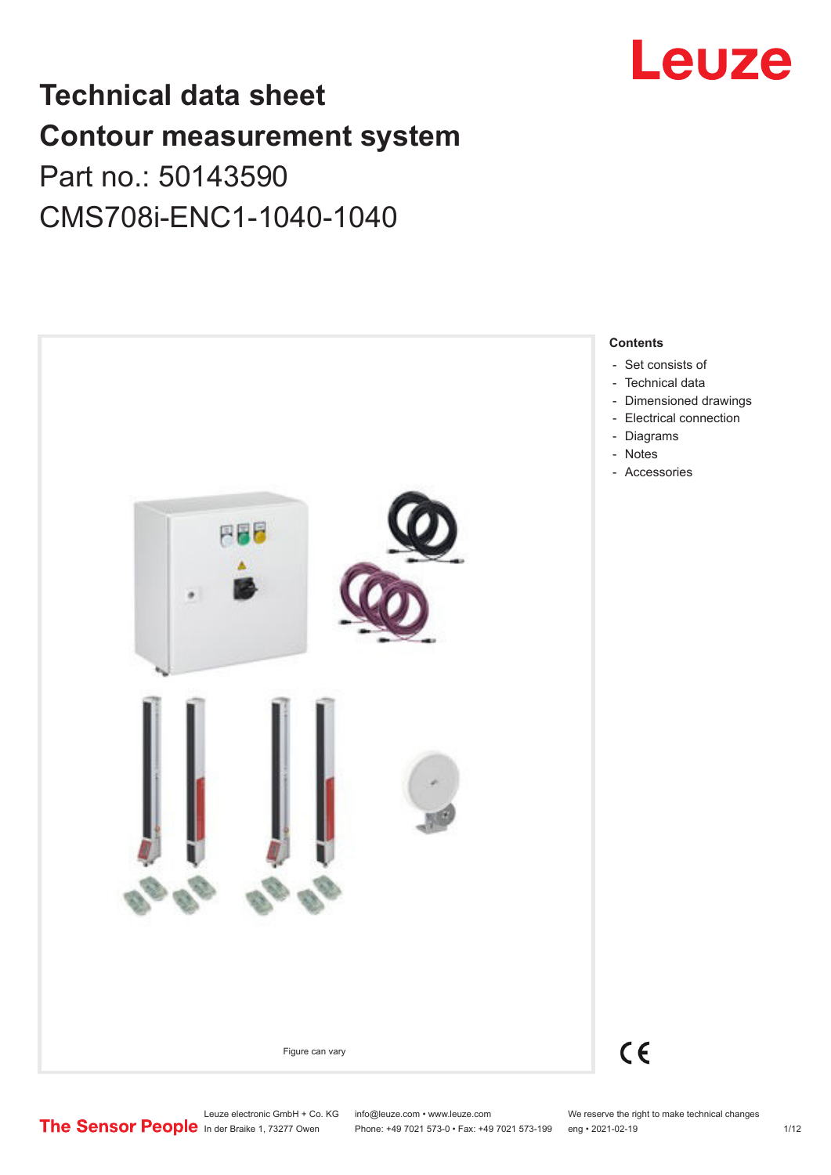

# **Technical data sheet Contour measurement system** Part no.: 50143590

CMS708i-ENC1-1040-1040



Phone: +49 7021 573-0 • Fax: +49 7021 573-199 eng • 2021-02-19 1/12

Leuze electronic GmbH + Co. KG info@leuze.com • www.leuze.com We reserve the right to make technical changes<br>
The Sensor People in der Braike 1, 73277 Owen Phone: +49 7021 573-0 • Fax: +49 7021 573-199 eng • 2021-02-19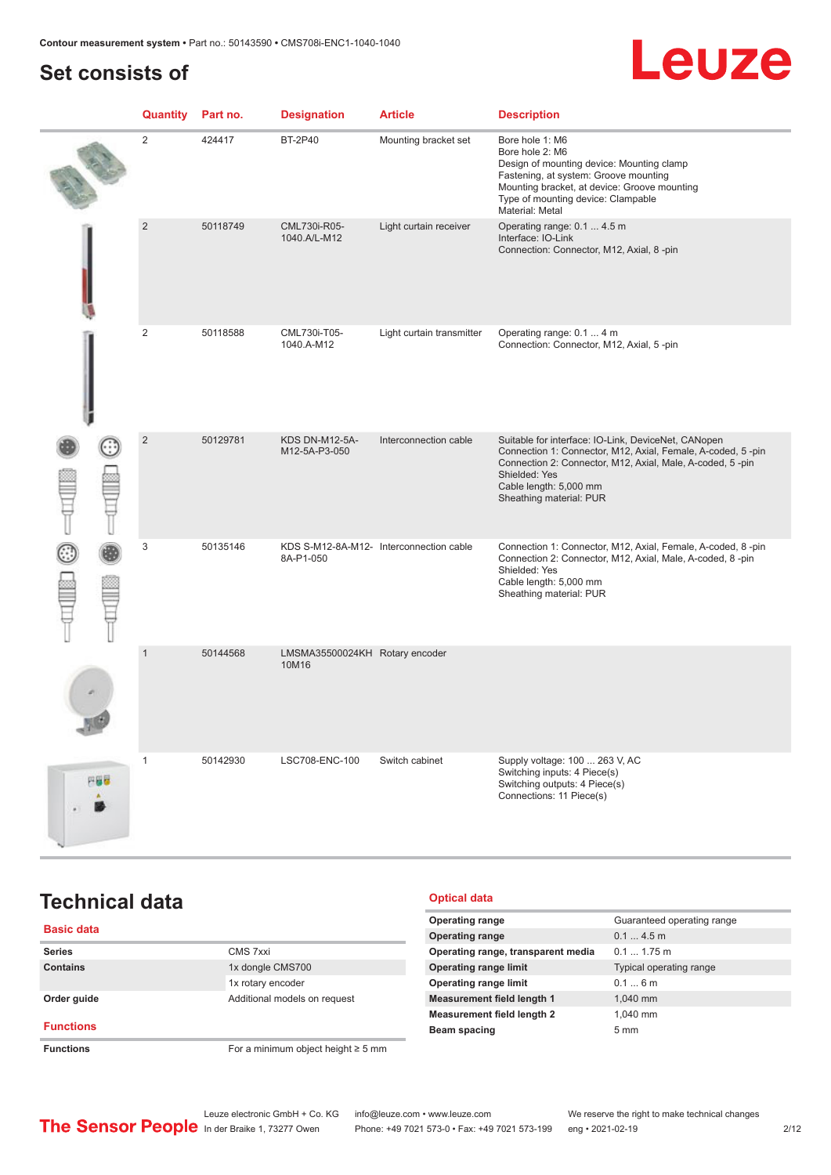# <span id="page-1-0"></span>**Set consists of**

# Leuze

|     | Quantity       | Part no. | <b>Designation</b>                      | <b>Article</b>                          | <b>Description</b>                                                                                                                                                                                                                                    |
|-----|----------------|----------|-----------------------------------------|-----------------------------------------|-------------------------------------------------------------------------------------------------------------------------------------------------------------------------------------------------------------------------------------------------------|
|     | 2              | 424417   | <b>BT-2P40</b>                          | Mounting bracket set                    | Bore hole 1: M6<br>Bore hole 2: M6<br>Design of mounting device: Mounting clamp<br>Fastening, at system: Groove mounting<br>Mounting bracket, at device: Groove mounting<br>Type of mounting device: Clampable<br>Material: Metal                     |
|     | $\overline{2}$ | 50118749 | CML730i-R05-<br>1040.A/L-M12            | Light curtain receiver                  | Operating range: 0.1  4.5 m<br>Interface: IO-Link<br>Connection: Connector, M12, Axial, 8-pin                                                                                                                                                         |
|     | $\mathbf{2}$   | 50118588 | CML730i-T05-<br>1040.A-M12              | Light curtain transmitter               | Operating range: 0.1  4 m<br>Connection: Connector, M12, Axial, 5-pin                                                                                                                                                                                 |
|     | $\overline{2}$ | 50129781 | <b>KDS DN-M12-5A-</b><br>M12-5A-P3-050  | Interconnection cable                   | Suitable for interface: IO-Link, DeviceNet, CANopen<br>Connection 1: Connector, M12, Axial, Female, A-coded, 5-pin<br>Connection 2: Connector, M12, Axial, Male, A-coded, 5-pin<br>Shielded: Yes<br>Cable length: 5,000 mm<br>Sheathing material: PUR |
|     | 3              | 50135146 | 8A-P1-050                               | KDS S-M12-8A-M12- Interconnection cable | Connection 1: Connector, M12, Axial, Female, A-coded, 8-pin<br>Connection 2: Connector, M12, Axial, Male, A-coded, 8-pin<br>Shielded: Yes<br>Cable length: 5,000 mm<br>Sheathing material: PUR                                                        |
|     | $\mathbf{1}$   | 50144568 | LMSMA35500024KH Rotary encoder<br>10M16 |                                         |                                                                                                                                                                                                                                                       |
| 円器器 | $\mathbf{1}$   | 50142930 | LSC708-ENC-100                          | Switch cabinet                          | Supply voltage: 100  263 V, AC<br>Switching inputs: 4 Piece(s)<br>Switching outputs: 4 Piece(s)<br>Connections: 11 Piece(s)                                                                                                                           |

# **Technical data**

### **Basic data Series** CMS 7xxi **Contains** 1x dongle CMS700 1x rotary encoder **Order guide Calculate Additional models on request Functions Functions** For a minimum object height ≥ 5 mm

#### **Optical data**

| <b>Operating range</b>             | Guaranteed operating range |
|------------------------------------|----------------------------|
| <b>Operating range</b>             | $0.14.5$ m                 |
| Operating range, transparent media | $0.11.75$ m                |
| <b>Operating range limit</b>       | Typical operating range    |
| <b>Operating range limit</b>       | 0.16m                      |
| <b>Measurement field length 1</b>  | 1.040 mm                   |
| <b>Measurement field length 2</b>  | 1.040 mm                   |
| Beam spacing                       | $5 \text{ mm}$             |
|                                    |                            |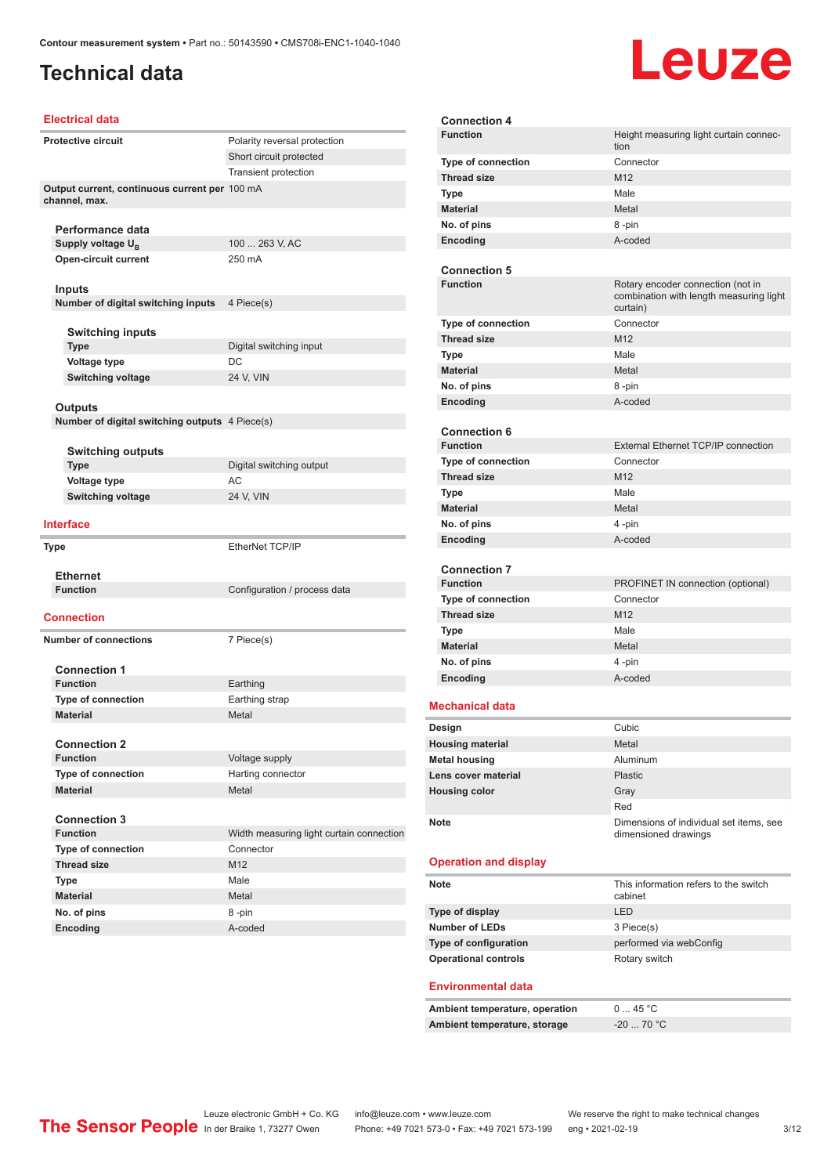# **Technical data**

# Leuze

#### **Electrical data**

| <b>Protective circuit</b>                                      | Polarity reversal protection             |
|----------------------------------------------------------------|------------------------------------------|
|                                                                | Short circuit protected                  |
|                                                                | <b>Transient protection</b>              |
| Output current, continuous current per 100 mA<br>channel, max. |                                          |
| Performance data                                               |                                          |
| Supply voltage $U_{\rm B}$                                     | 100  263 V, AC                           |
| <b>Open-circuit current</b>                                    | 250 mA                                   |
| Inputs                                                         |                                          |
| Number of digital switching inputs                             | 4 Piece(s)                               |
|                                                                |                                          |
| <b>Switching inputs</b>                                        |                                          |
| <b>Type</b>                                                    | Digital switching input                  |
| Voltage type                                                   | DC                                       |
| <b>Switching voltage</b>                                       | 24 V, VIN                                |
|                                                                |                                          |
| Outputs                                                        |                                          |
| Number of digital switching outputs 4 Piece(s)                 |                                          |
|                                                                |                                          |
| <b>Switching outputs</b>                                       |                                          |
| <b>Type</b>                                                    | Digital switching output                 |
| Voltage type                                                   | AC                                       |
| <b>Switching voltage</b>                                       | 24 V, VIN                                |
| <b>Interface</b>                                               |                                          |
| Type                                                           | EtherNet TCP/IP                          |
| <b>Ethernet</b>                                                |                                          |
| <b>Function</b>                                                | Configuration / process data             |
| Connection                                                     |                                          |
| <b>Number of connections</b>                                   | 7 Piece(s)                               |
|                                                                |                                          |
| <b>Connection 1</b>                                            |                                          |
| <b>Function</b>                                                | Earthing                                 |
| <b>Type of connection</b>                                      | Earthing strap                           |
| <b>Material</b>                                                | Metal                                    |
|                                                                |                                          |
| <b>Connection 2</b>                                            |                                          |
| <b>Function</b>                                                | Voltage supply                           |
| <b>Type of connection</b>                                      | Harting connector                        |
| <b>Material</b>                                                | Metal                                    |
|                                                                |                                          |
| <b>Connection 3</b>                                            |                                          |
| <b>Function</b>                                                | Width measuring light curtain connection |
| <b>Type of connection</b>                                      | Connector                                |
| <b>Thread size</b>                                             | M12                                      |
| Type                                                           | Male                                     |
| <b>Material</b>                                                | Metal                                    |
| No. of pins                                                    | 8-pin                                    |
| Encoding                                                       | A-coded                                  |

| <b>Connection 4</b>          |                                                                 |
|------------------------------|-----------------------------------------------------------------|
| <b>Function</b>              | Height measuring light curtain connec-                          |
|                              | tion                                                            |
| <b>Type of connection</b>    | Connector<br>M <sub>12</sub>                                    |
| <b>Thread size</b>           |                                                                 |
| <b>Type</b>                  | Male                                                            |
| <b>Material</b>              | Metal                                                           |
| No. of pins                  | 8-pin                                                           |
| <b>Encoding</b>              | A-coded                                                         |
| <b>Connection 5</b>          |                                                                 |
| <b>Function</b>              | Rotary encoder connection (not in                               |
|                              | combination with length measuring light<br>curtain)             |
| <b>Type of connection</b>    | Connector                                                       |
| <b>Thread size</b>           | M <sub>12</sub>                                                 |
| <b>Type</b>                  | Male                                                            |
| <b>Material</b>              | Metal                                                           |
| No. of pins                  | 8 -pin                                                          |
| Encoding                     | A-coded                                                         |
|                              |                                                                 |
| <b>Connection 6</b>          |                                                                 |
| <b>Function</b>              | External Ethernet TCP/IP connection                             |
| Type of connection           | Connector                                                       |
| <b>Thread size</b>           | M <sub>12</sub>                                                 |
| <b>Type</b>                  | Male                                                            |
| <b>Material</b>              | Metal                                                           |
| No. of pins                  | 4-pin                                                           |
| <b>Encoding</b>              | A-coded                                                         |
|                              |                                                                 |
| <b>Connection 7</b>          |                                                                 |
| <b>Function</b>              | PROFINET IN connection (optional)                               |
| <b>Type of connection</b>    | Connector                                                       |
| <b>Thread size</b>           | M <sub>12</sub>                                                 |
| <b>Type</b>                  | Male                                                            |
| <b>Material</b>              | Metal                                                           |
| No. of pins                  | 4-pin                                                           |
| Encoding                     | A-coded                                                         |
| <b>Mechanical data</b>       |                                                                 |
| Design                       | Cubic                                                           |
| <b>Housing material</b>      | Metal                                                           |
| <b>Metal housing</b>         | Aluminum                                                        |
| Lens cover material          | <b>Plastic</b>                                                  |
| <b>Housing color</b>         | Gray                                                            |
|                              | Red                                                             |
| Note                         | Dimensions of individual set items, see<br>dimensioned drawings |
| <b>Operation and display</b> |                                                                 |
| Note                         | This information refers to the switch<br>cabinet                |
| Type of display              | LED                                                             |
| <b>Number of LEDs</b>        | 3 Piece(s)                                                      |
| Type of configuration        | performed via webConfig                                         |
| <b>Operational controls</b>  | Rotary switch                                                   |

#### **Environmental data**

| Ambient temperature, operation | 0  45 °C         |
|--------------------------------|------------------|
| Ambient temperature, storage   | $-20$ 70 °C $\,$ |

Leuze electronic GmbH + Co. KG info@leuze.com • www.leuze.com We reserve the right to make technical changes In der Braike 1, 73277 Owen Phone: +49 7021 573-0 • Fax: +49 7021 573-199 eng • 2021-02-19 3/12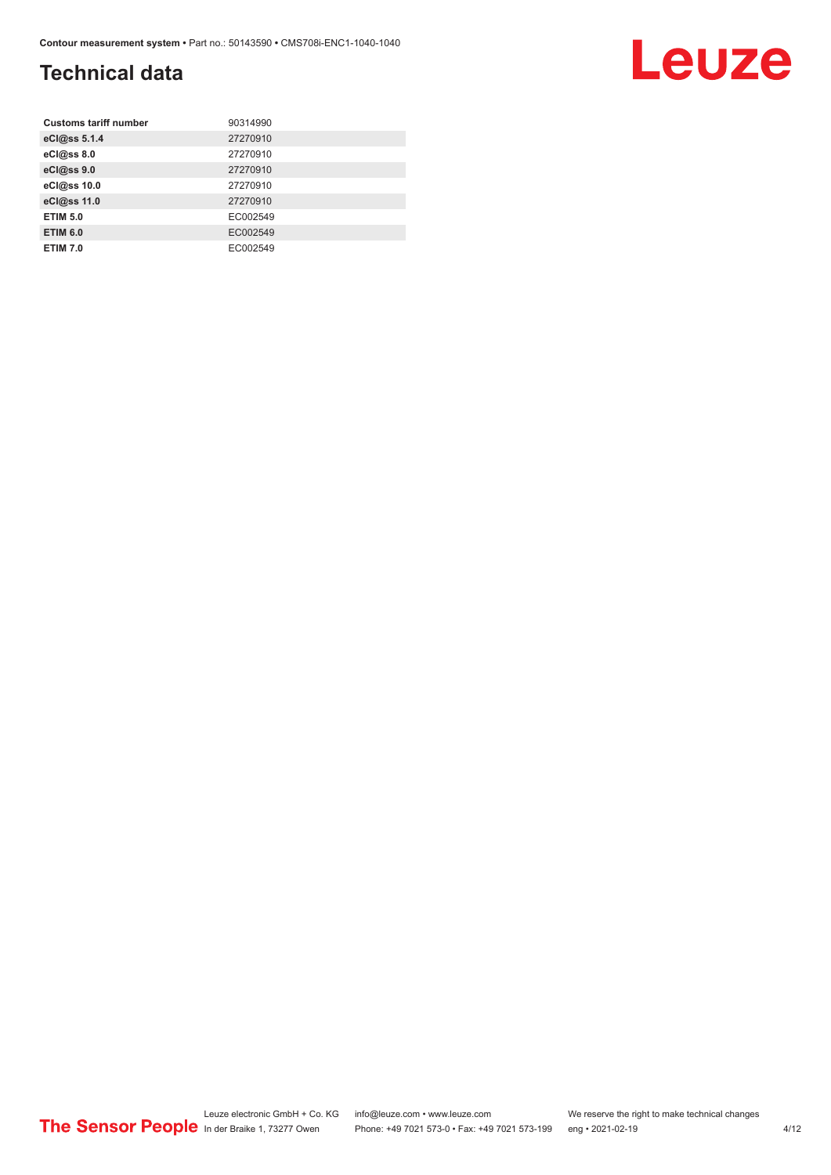# **Technical data**

| <b>Customs tariff number</b> | 90314990 |
|------------------------------|----------|
| eCl@ss 5.1.4                 | 27270910 |
| eCl@ss 8.0                   | 27270910 |
| eCl@ss 9.0                   | 27270910 |
| eCl@ss 10.0                  | 27270910 |
| eCl@ss 11.0                  | 27270910 |
| <b>ETIM 5.0</b>              | EC002549 |
| <b>ETIM 6.0</b>              | EC002549 |
| <b>ETIM 7.0</b>              | EC002549 |

Leuze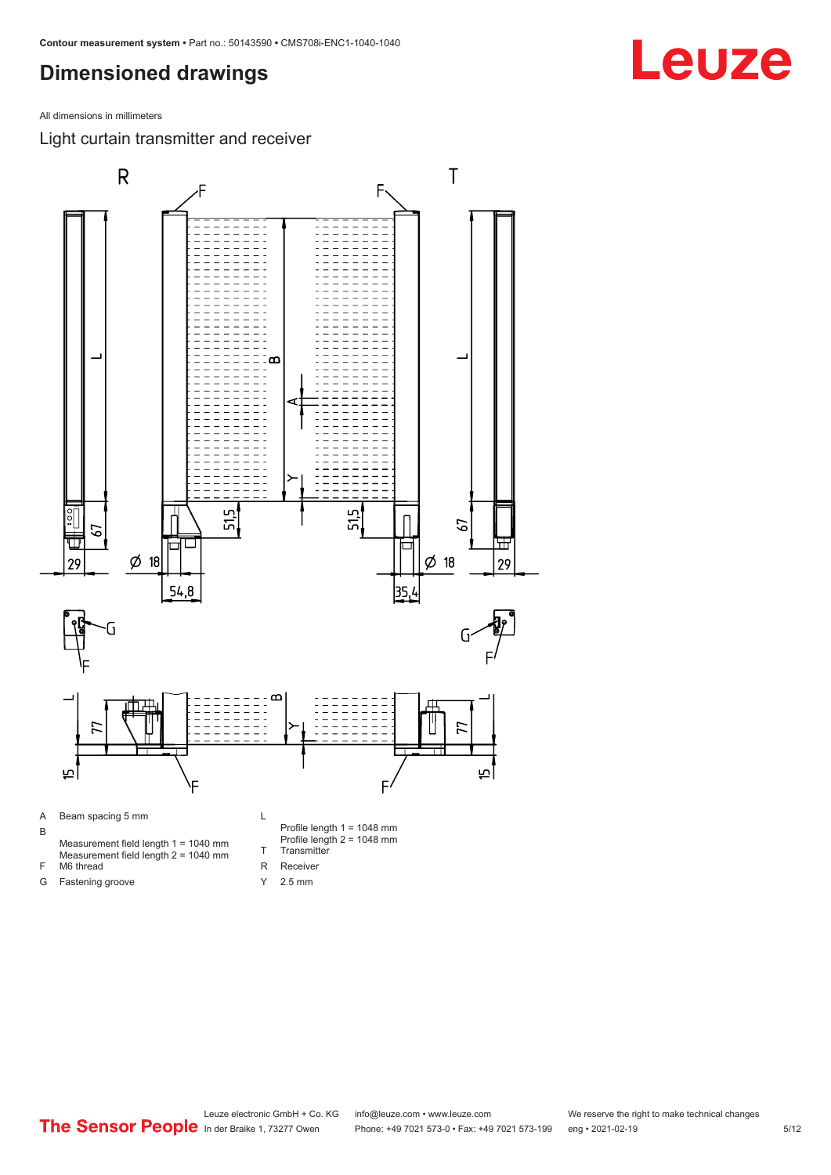<span id="page-4-0"></span>All dimensions in millimeters

Light curtain transmitter and receiver





Leuze electronic GmbH + Co. KG info@leuze.com • www.leuze.com We reserve the right to make technical changes<br>
The Sensor People in der Braike 1, 73277 Owen Phone: +49 7021 573-0 • Fax: +49 7021 573-199 eng • 2021-02-19 Phone: +49 7021 573-0 • Fax: +49 7021 573-199 eng • 2021-02-19 **Fax: +49 7021 573-0**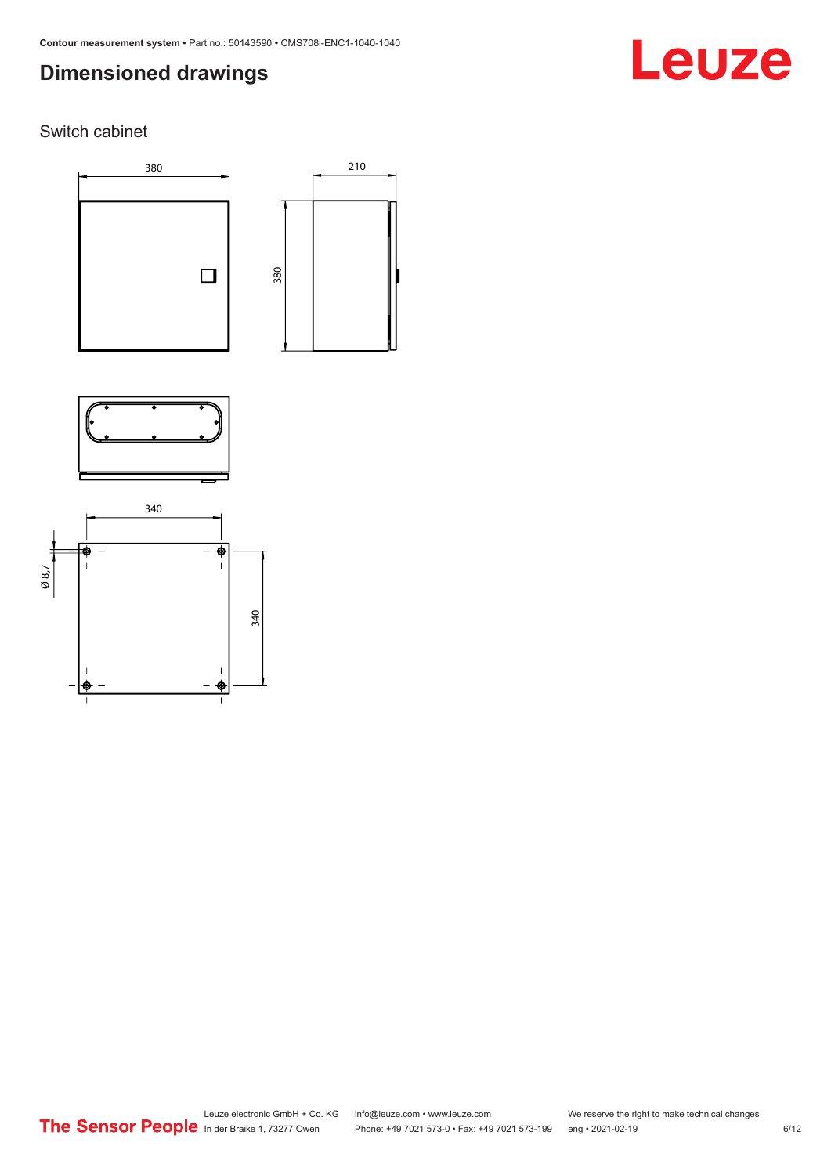# Leuze

### Switch cabinet





210



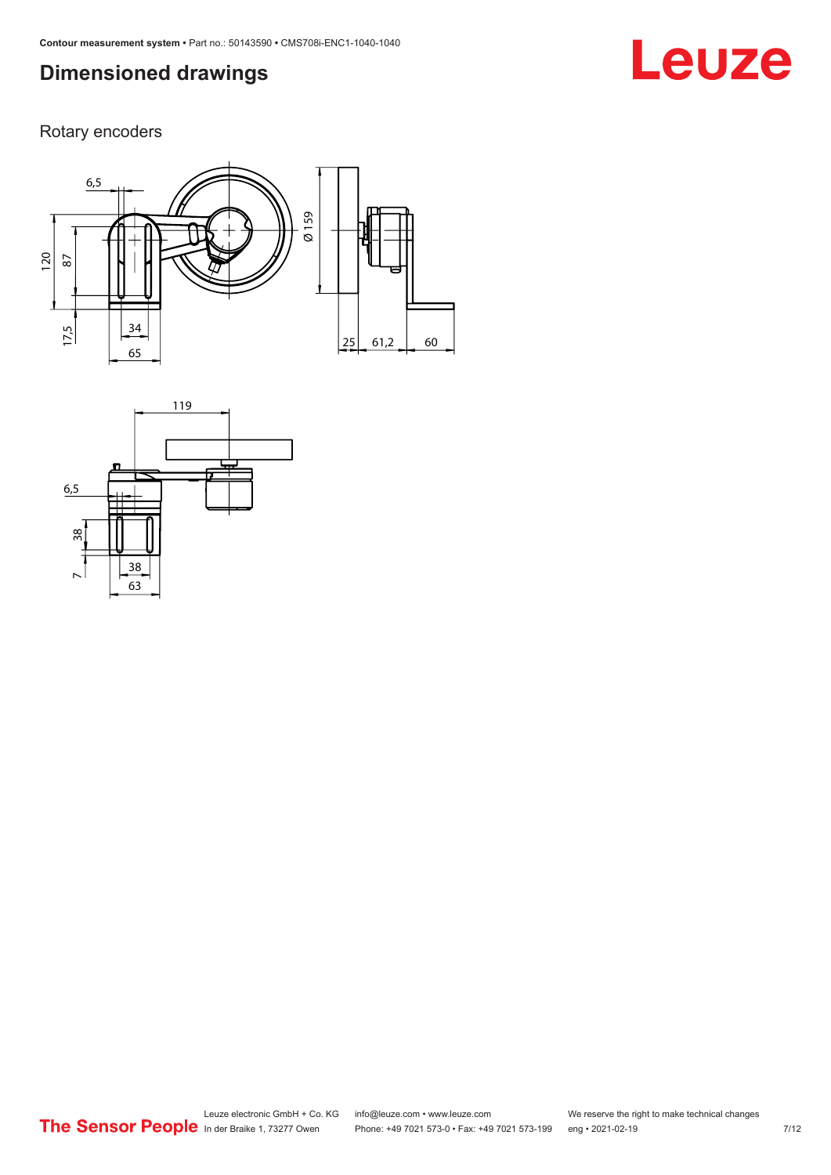# **Leuze**

Rotary encoders



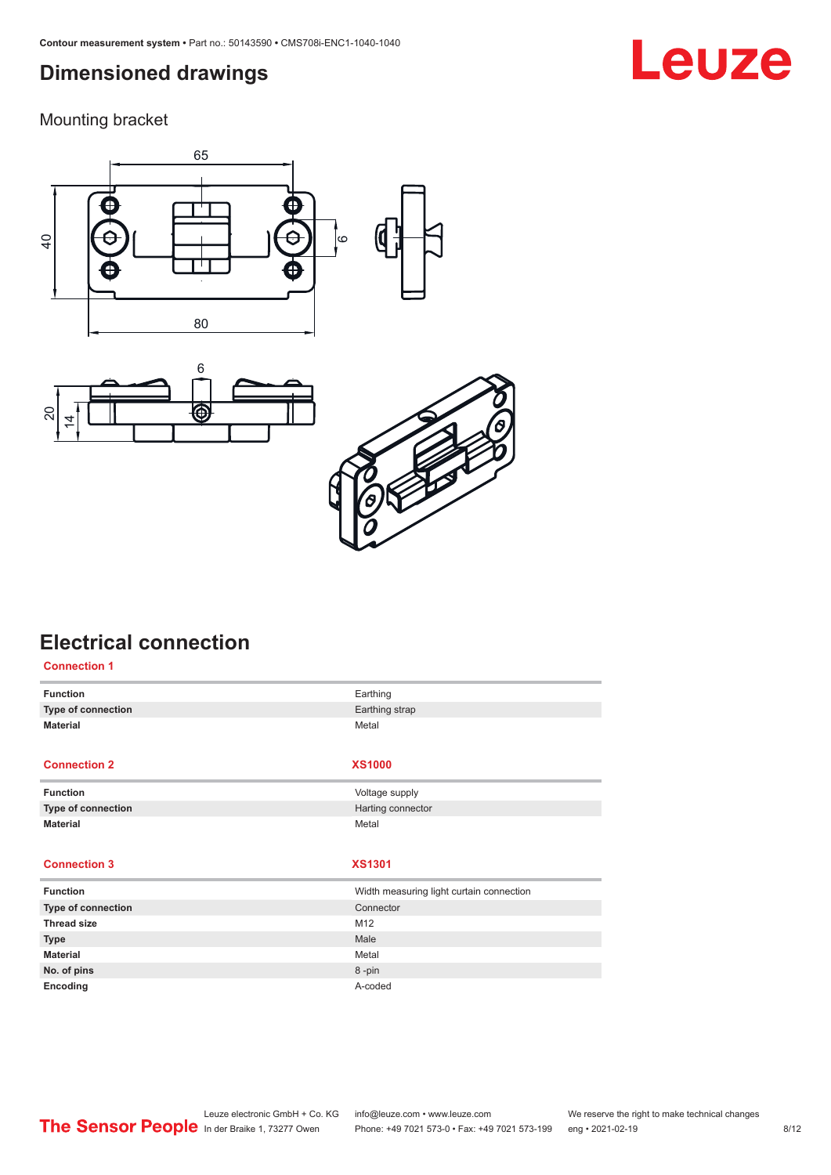<span id="page-7-0"></span>Mounting bracket







### **Electrical connection Connection 1**

| <b>Function</b><br>Type of connection<br><b>Material</b> | Earthing<br>Earthing strap               |
|----------------------------------------------------------|------------------------------------------|
|                                                          |                                          |
|                                                          |                                          |
|                                                          | Metal                                    |
| <b>Connection 2</b>                                      | <b>XS1000</b>                            |
| <b>Function</b>                                          | Voltage supply                           |
| <b>Type of connection</b>                                | Harting connector                        |
| <b>Material</b>                                          | Metal                                    |
|                                                          |                                          |
| <b>Connection 3</b>                                      | <b>XS1301</b>                            |
| <b>Function</b>                                          | Width measuring light curtain connection |
| <b>Type of connection</b>                                | Connector                                |
| <b>Thread size</b><br>M12                                |                                          |
| Male<br><b>Type</b>                                      |                                          |
| <b>Material</b>                                          | Metal                                    |
| No. of pins                                              | 8-pin                                    |
|                                                          |                                          |
|                                                          |                                          |

#### Leuze electronic GmbH + Co. KG info@leuze.com • www.leuze.com We reserve the right to make technical changes<br>
The Sensor People in der Braike 1, 73277 Owen Phone: +49 7021 573-0 • Fax: +49 7021 573-199 eng • 2021-02-19 Phone: +49 7021 573-0 • Fax: +49 7021 573-199 eng • 2021-02-19 **1201** 128 8/12

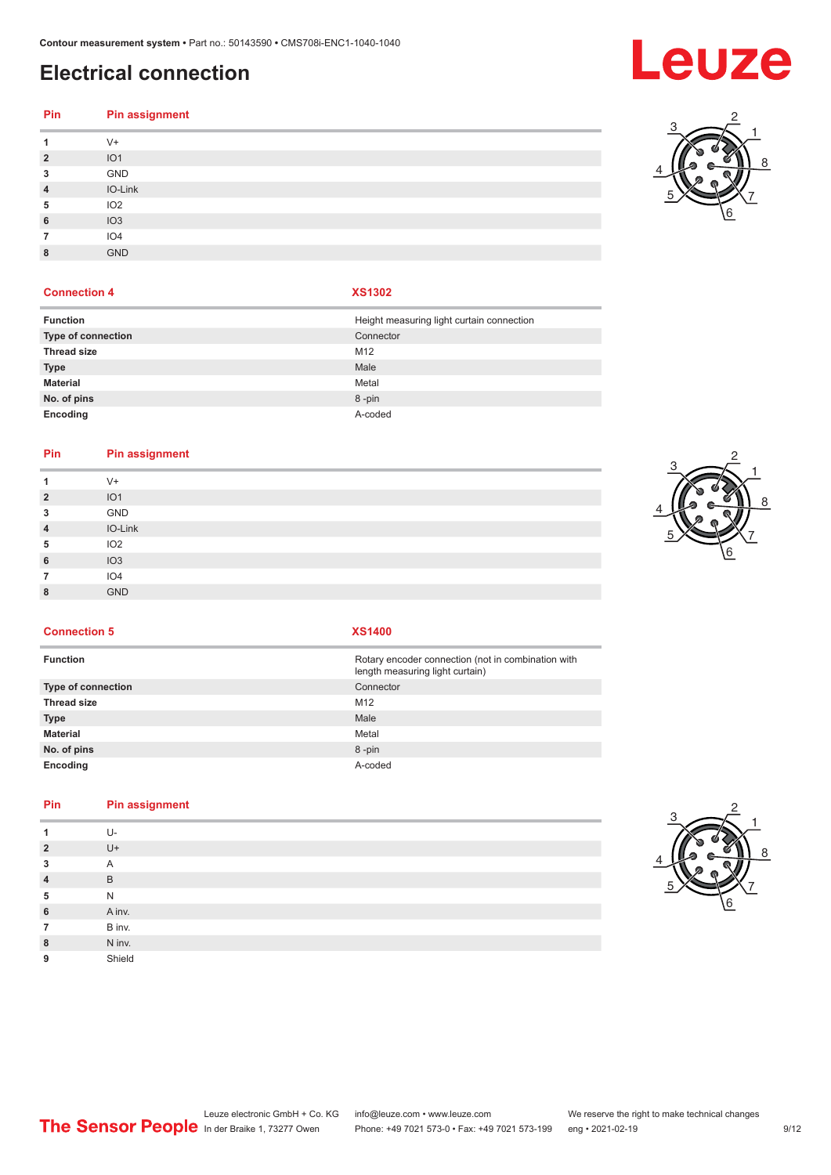# **Electrical connection**

#### **Pin Pin assignment** V+ IO1 GND IO-Link IO2 IO3

#### **Connection 4 XS1302**

IO4

GND

| <b>Function</b>    | Height measuring light curtain connection |
|--------------------|-------------------------------------------|
| Type of connection | Connector                                 |
| <b>Thread size</b> | M <sub>12</sub>                           |
| <b>Type</b>        | Male                                      |
| <b>Material</b>    | Metal                                     |
| No. of pins        | 8-pin                                     |
| Encoding           | A-coded                                   |

#### **Pin Pin assignment**

| 1              | $V +$           |
|----------------|-----------------|
| $\overline{2}$ | IO <sub>1</sub> |
| 3              | GND             |
| $\overline{4}$ | IO-Link         |
| 5              | IO <sub>2</sub> |
| 6              | IO <sub>3</sub> |
| 7              | IO4             |
| 8              | <b>GND</b>      |
|                |                 |



**Connection 5 XS1400**

| <b>Function</b>    | Rotary encoder connection (not in combination with<br>length measuring light curtain) |
|--------------------|---------------------------------------------------------------------------------------|
| Type of connection | Connector                                                                             |
| Thread size        | M <sub>12</sub>                                                                       |
| Type               | Male                                                                                  |
| Material           | Metal                                                                                 |
| No. of pins        | 8-pin                                                                                 |
| Encoding           | A-coded                                                                               |

#### **Pin Pin assignment**

|                | U-     |
|----------------|--------|
| $\overline{2}$ | $U +$  |
| 3              | A      |
| $\overline{4}$ | B      |
| 5              | N      |
| 6              | A inv. |
| 7              | B inv. |
| 8              | N inv. |
| 9              | Shield |



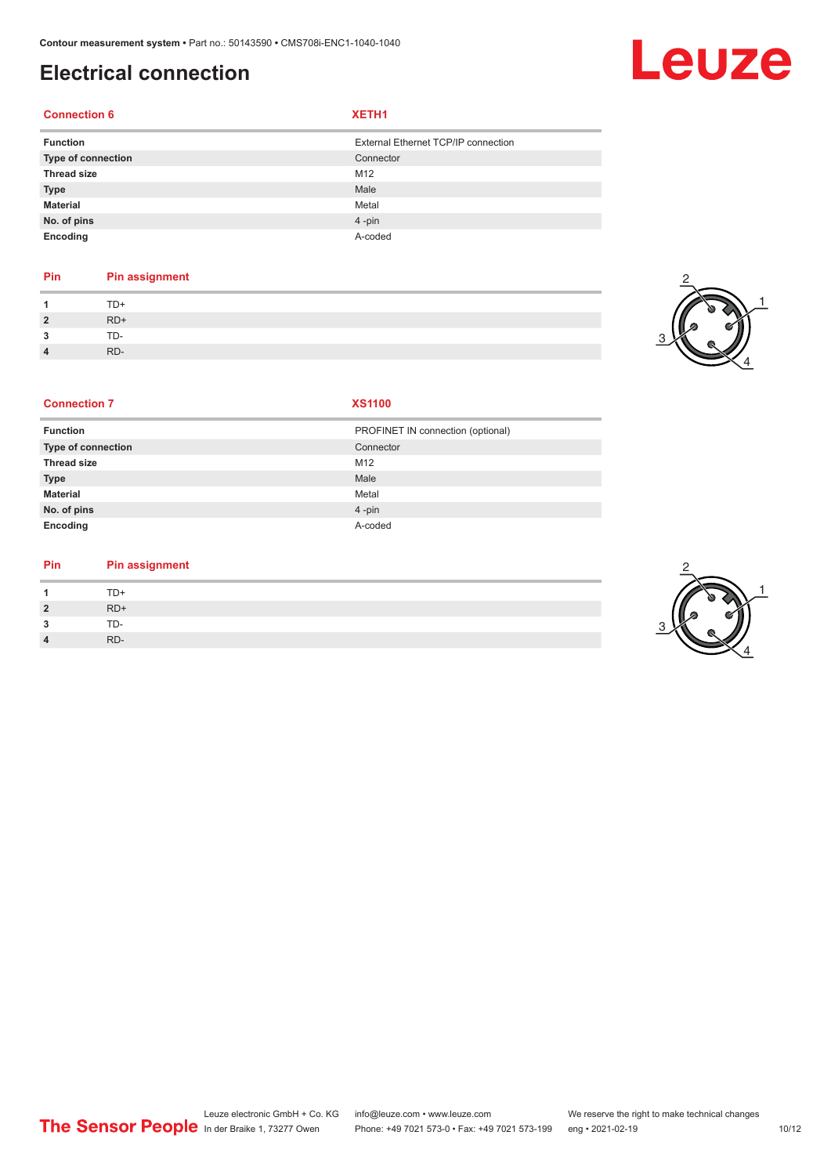# **Electrical connection**

#### **Connection 6 XETH1**

| <b>Function</b>    | External Ethernet TCP/IP connection |
|--------------------|-------------------------------------|
| Type of connection | Connector                           |
| <b>Thread size</b> | M12                                 |
| <b>Type</b>        | Male                                |
| <b>Material</b>    | Metal                               |
| No. of pins        | $4$ -pin                            |
| Encoding           | A-coded                             |

### **Pin Pin assignment**

| -1             | $TD+$ |
|----------------|-------|
| $\overline{2}$ | RD+   |
| $\mathbf{3}$   | TD-   |
| $\overline{4}$ | RD-   |



#### **Connection 7 XS1100**

| <b>Function</b>    | PROFINET IN connection (optional) |
|--------------------|-----------------------------------|
| Type of connection | Connector                         |
| <b>Thread size</b> | M12                               |
| <b>Type</b>        | Male                              |
| <b>Material</b>    | Metal                             |
| No. of pins        | $4 - pin$                         |
| Encoding           | A-coded                           |

#### **Pin Pin assignment**

| $\overline{A}$ | TD+   |
|----------------|-------|
| $\overline{2}$ | $RD+$ |
| 3              | TD-   |
| $\overline{4}$ | RD-   |



# Leuze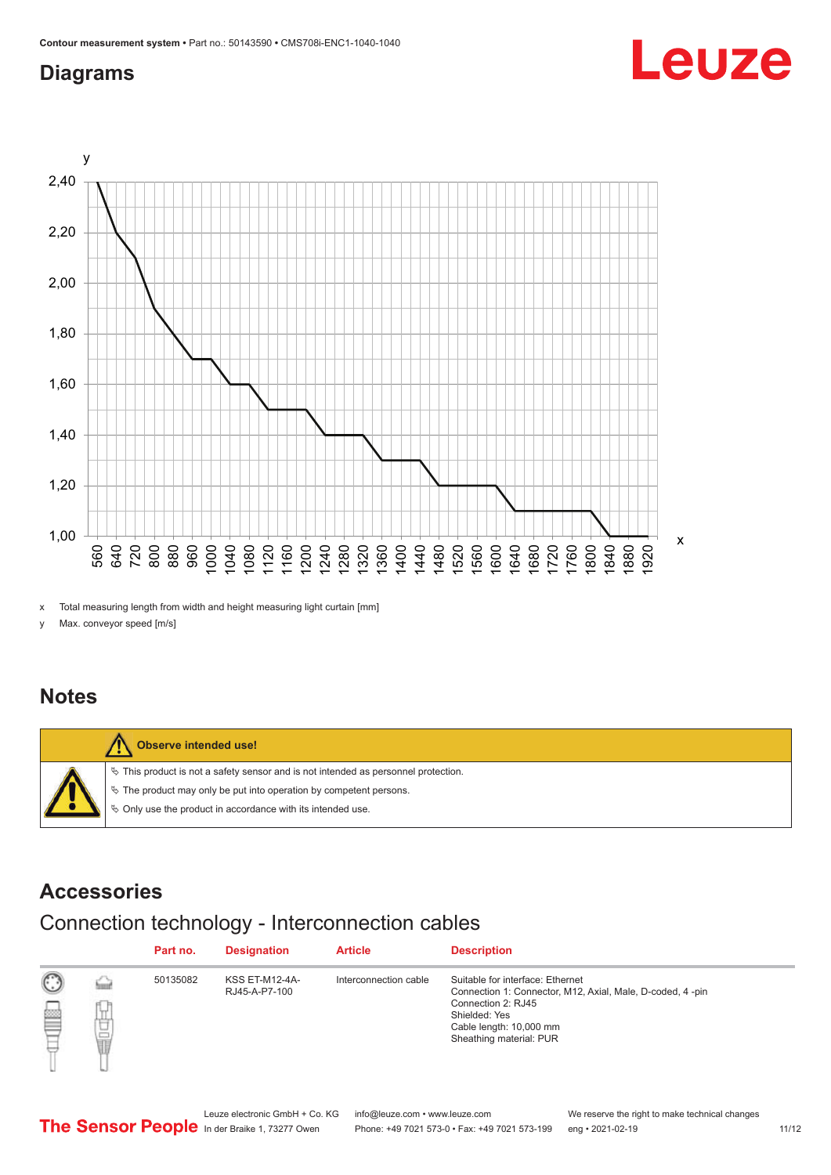## <span id="page-10-0"></span>**Diagrams**



x Total measuring length from width and height measuring light curtain [mm]

y Max. conveyor speed [m/s]

### **Notes**



### **Accessories**

# Connection technology - Interconnection cables

|   |                      | Part no. | <b>Designation</b>                     | <b>Article</b>        | <b>Description</b>                                                                                                                                                                         |
|---|----------------------|----------|----------------------------------------|-----------------------|--------------------------------------------------------------------------------------------------------------------------------------------------------------------------------------------|
| ▩ | <b>Service</b><br>甘量 | 50135082 | <b>KSS ET-M12-4A-</b><br>RJ45-A-P7-100 | Interconnection cable | Suitable for interface: Ethernet<br>Connection 1: Connector, M12, Axial, Male, D-coded, 4-pin<br>Connection 2: RJ45<br>Shielded: Yes<br>Cable length: 10,000 mm<br>Sheathing material: PUR |



Leuze